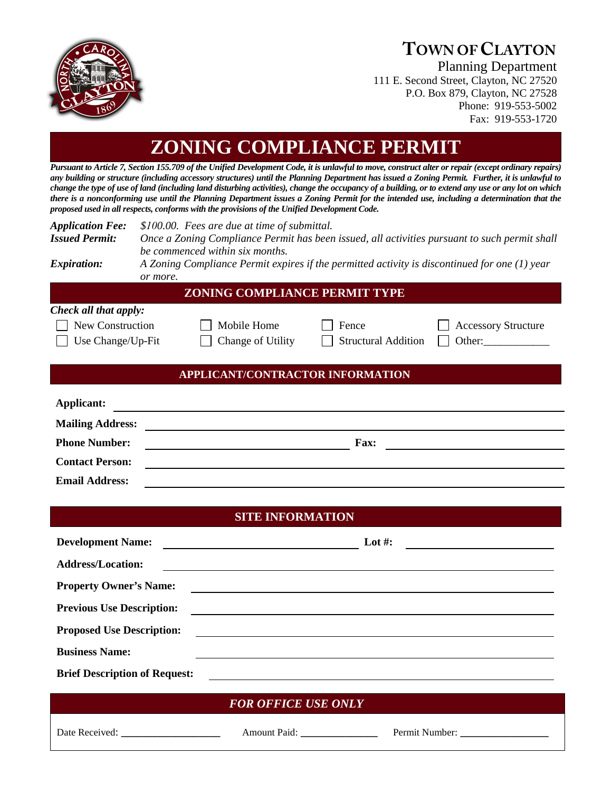

## **TOWN OF CLAYTON**

Planning Department 111 E. Second Street, Clayton, NC 27520 P.O. Box 879, Clayton, NC 27528 Phone: 919-553-5002 Fax: 919-553-1720

**ZONING COMPLIANCE PERMIT**

*Pursuant to Article 7, Section 155.709 of the Unified Development Code, it is unlawful to move, construct alter or repair (except ordinary repairs) any building or structure (including accessory structures) until the Planning Department has issued a Zoning Permit. Further, it is unlawful to change the type of use of land (including land disturbing activities), change the occupancy of a building, or to extend any use or any lot on which there is a nonconforming use until the Planning Department issues a Zoning Permit for the intended use, including a determination that the proposed used in all respects, conforms with the provisions of the Unified Development Code.* 

| <b>Application Fee:</b> | \$100.00. Fees are due at time of submittal.                                                  |  |  |  |  |  |  |
|-------------------------|-----------------------------------------------------------------------------------------------|--|--|--|--|--|--|
| <b>Issued Permit:</b>   | Once a Zoning Compliance Permit has been issued, all activities pursuant to such permit shall |  |  |  |  |  |  |
|                         | be commenced within six months.                                                               |  |  |  |  |  |  |
| <i>Expiration:</i>      | A Zoning Compliance Permit expires if the permitted activity is discontinued for one (1) year |  |  |  |  |  |  |
|                         | or more.                                                                                      |  |  |  |  |  |  |
|                         | <b>ZONING COMPLIANCE PERMIT TYPE</b>                                                          |  |  |  |  |  |  |
| Check all that apply:   |                                                                                               |  |  |  |  |  |  |
| New Construction        | Mobile Home<br><b>Accessory Structure</b><br>Fence                                            |  |  |  |  |  |  |
| Use Change/Up-Fit       | Change of Utility<br><b>Structural Addition</b><br>Other:                                     |  |  |  |  |  |  |
|                         |                                                                                               |  |  |  |  |  |  |
|                         | APPLICANT/CONTRACTOR INFORMATION                                                              |  |  |  |  |  |  |
|                         |                                                                                               |  |  |  |  |  |  |
| Applicant:              |                                                                                               |  |  |  |  |  |  |
| <b>Mailing Address:</b> |                                                                                               |  |  |  |  |  |  |
| <b>Phone Number:</b>    | <b>Fax:</b><br><u> 1980 - Johann Barn, fransk politik (d. 1980)</u>                           |  |  |  |  |  |  |
| <b>Contact Person:</b>  |                                                                                               |  |  |  |  |  |  |
| <b>Email Address:</b>   |                                                                                               |  |  |  |  |  |  |
|                         |                                                                                               |  |  |  |  |  |  |
|                         | <b>SITE INFORMATION</b>                                                                       |  |  |  |  |  |  |
|                         |                                                                                               |  |  |  |  |  |  |

| <b>Development Name:</b>             | Lot #:                                                                                                                |  |
|--------------------------------------|-----------------------------------------------------------------------------------------------------------------------|--|
| <b>Address/Location:</b>             |                                                                                                                       |  |
| <b>Property Owner's Name:</b>        |                                                                                                                       |  |
| <b>Previous Use Description:</b>     |                                                                                                                       |  |
| <b>Proposed Use Description:</b>     | <u> 1989 - Johann Harry Harry Harry Harry Harry Harry Harry Harry Harry Harry Harry Harry Harry Harry Harry Harry</u> |  |
| <b>Business Name:</b>                |                                                                                                                       |  |
| <b>Brief Description of Request:</b> | <u> 1989 - John Stein, Amerikaansk politiker (</u>                                                                    |  |
|                                      | <b>FOR OFFICE USE ONLY</b>                                                                                            |  |

Date Received: \_\_\_\_\_\_\_\_\_\_\_\_\_\_\_\_\_\_\_\_\_\_\_ Amount Paid: \_\_\_\_\_\_\_\_\_\_\_\_\_\_\_\_\_ Permit Number: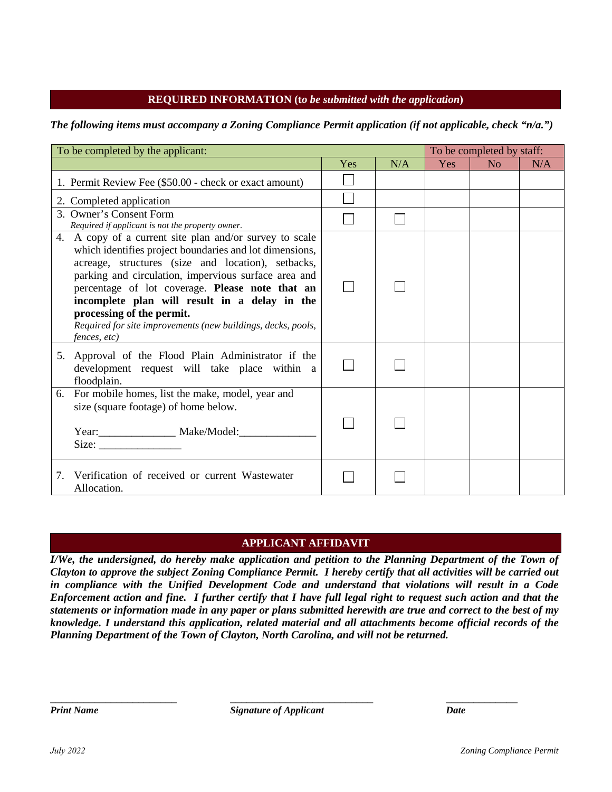## **REQUIRED INFORMATION (t***o be submitted with the application***)**

*The following items must accompany a Zoning Compliance Permit application (if not applicable, check "n/a.")* 

| To be completed by the applicant:                                                                                                                                                                                                                                                                                                                                                                                                                 |     |     | To be completed by staff: |    |     |
|---------------------------------------------------------------------------------------------------------------------------------------------------------------------------------------------------------------------------------------------------------------------------------------------------------------------------------------------------------------------------------------------------------------------------------------------------|-----|-----|---------------------------|----|-----|
|                                                                                                                                                                                                                                                                                                                                                                                                                                                   | Yes | N/A | <b>Yes</b>                | No | N/A |
| 1. Permit Review Fee (\$50.00 - check or exact amount)                                                                                                                                                                                                                                                                                                                                                                                            |     |     |                           |    |     |
| 2. Completed application                                                                                                                                                                                                                                                                                                                                                                                                                          |     |     |                           |    |     |
| 3. Owner's Consent Form<br>Required if applicant is not the property owner.                                                                                                                                                                                                                                                                                                                                                                       |     |     |                           |    |     |
| 4. A copy of a current site plan and/or survey to scale<br>which identifies project boundaries and lot dimensions,<br>acreage, structures (size and location), setbacks,<br>parking and circulation, impervious surface area and<br>percentage of lot coverage. Please note that an<br>incomplete plan will result in a delay in the<br>processing of the permit.<br>Required for site improvements (new buildings, decks, pools,<br>fences, etc) |     |     |                           |    |     |
| 5. Approval of the Flood Plain Administrator if the<br>development request will take place within a<br>floodplain.                                                                                                                                                                                                                                                                                                                                |     |     |                           |    |     |
| 6. For mobile homes, list the make, model, year and<br>size (square footage) of home below.<br>$Year:$ $Make/Model:$<br>Size:                                                                                                                                                                                                                                                                                                                     |     |     |                           |    |     |
| Verification of received or current Wastewater<br>7.<br>Allocation.                                                                                                                                                                                                                                                                                                                                                                               |     |     |                           |    |     |

## **APPLICANT AFFIDAVIT**

*I/We, the undersigned, do hereby make application and petition to the Planning Department of the Town of Clayton to approve the subject Zoning Compliance Permit. I hereby certify that all activities will be carried out in compliance with the Unified Development Code and understand that violations will result in a Code Enforcement action and fine. I further certify that I have full legal right to request such action and that the statements or information made in any paper or plans submitted herewith are true and correct to the best of my knowledge. I understand this application, related material and all attachments become official records of the Planning Department of the Town of Clayton, North Carolina, and will not be returned.* 

**\_\_\_\_\_\_\_\_\_\_\_\_\_\_\_\_\_\_\_\_\_\_\_ \_\_\_\_\_\_\_\_\_\_\_\_\_\_\_\_\_\_\_\_\_\_\_\_\_\_ \_\_\_\_\_\_\_\_\_\_\_\_\_**  *Print Name Date Signature of Applicant Date Date*